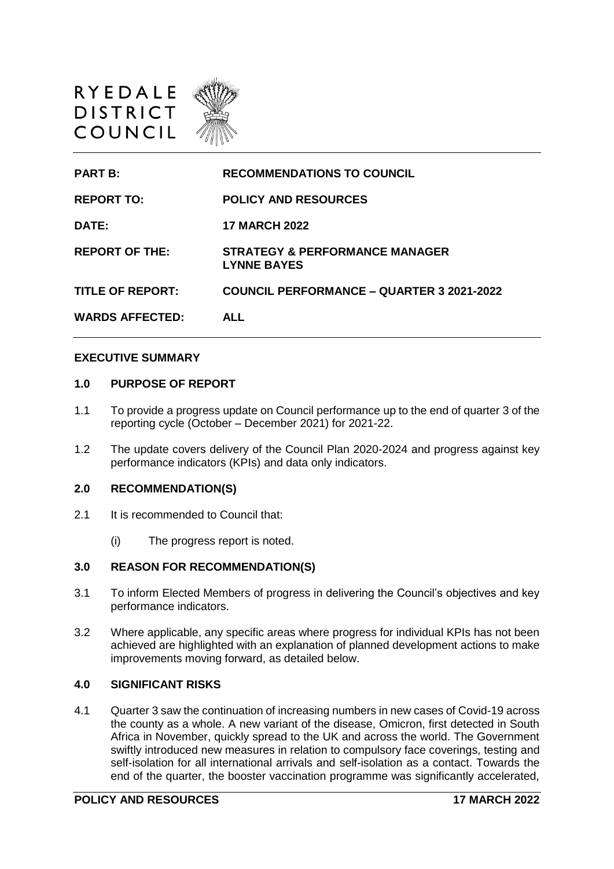

| <b>PART B:</b>          | <b>RECOMMENDATIONS TO COUNCIL</b>                               |
|-------------------------|-----------------------------------------------------------------|
| <b>REPORT TO:</b>       | <b>POLICY AND RESOURCES</b>                                     |
| <b>DATE:</b>            | <b>17 MARCH 2022</b>                                            |
| <b>REPORT OF THE:</b>   | <b>STRATEGY &amp; PERFORMANCE MANAGER</b><br><b>LYNNE BAYES</b> |
| <b>TITLE OF REPORT:</b> | <b>COUNCIL PERFORMANCE – QUARTER 3 2021-2022</b>                |
| <b>WARDS AFFECTED:</b>  | ALL                                                             |

#### **EXECUTIVE SUMMARY**

### **1.0 PURPOSE OF REPORT**

- 1.1 To provide a progress update on Council performance up to the end of quarter 3 of the reporting cycle (October – December 2021) for 2021-22.
- 1.2 The update covers delivery of the Council Plan 2020-2024 and progress against key performance indicators (KPIs) and data only indicators.

#### **2.0 RECOMMENDATION(S)**

- 2.1 It is recommended to Council that:
	- (i) The progress report is noted.

### **3.0 REASON FOR RECOMMENDATION(S)**

- 3.1 To inform Elected Members of progress in delivering the Council's objectives and key performance indicators.
- 3.2 Where applicable, any specific areas where progress for individual KPIs has not been achieved are highlighted with an explanation of planned development actions to make improvements moving forward, as detailed below.

## **4.0 SIGNIFICANT RISKS**

4.1 Quarter 3 saw the continuation of increasing numbers in new cases of Covid-19 across the county as a whole. A new variant of the disease, Omicron, first detected in South Africa in November, quickly spread to the UK and across the world. The Government swiftly introduced new measures in relation to compulsory face coverings, testing and self-isolation for all international arrivals and self-isolation as a contact. Towards the end of the quarter, the booster vaccination programme was significantly accelerated,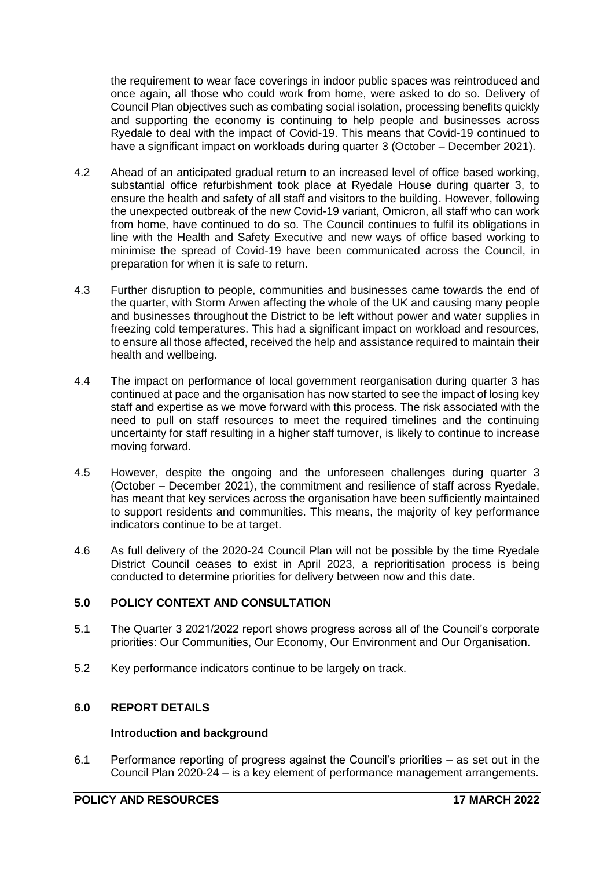the requirement to wear face coverings in indoor public spaces was reintroduced and once again, all those who could work from home, were asked to do so. Delivery of Council Plan objectives such as combating social isolation, processing benefits quickly and supporting the economy is continuing to help people and businesses across Ryedale to deal with the impact of Covid-19. This means that Covid-19 continued to have a significant impact on workloads during quarter 3 (October – December 2021).

- 4.2 Ahead of an anticipated gradual return to an increased level of office based working, substantial office refurbishment took place at Ryedale House during quarter 3, to ensure the health and safety of all staff and visitors to the building. However, following the unexpected outbreak of the new Covid-19 variant, Omicron, all staff who can work from home, have continued to do so. The Council continues to fulfil its obligations in line with the Health and Safety Executive and new ways of office based working to minimise the spread of Covid-19 have been communicated across the Council, in preparation for when it is safe to return.
- 4.3 Further disruption to people, communities and businesses came towards the end of the quarter, with Storm Arwen affecting the whole of the UK and causing many people and businesses throughout the District to be left without power and water supplies in freezing cold temperatures. This had a significant impact on workload and resources, to ensure all those affected, received the help and assistance required to maintain their health and wellbeing.
- 4.4 The impact on performance of local government reorganisation during quarter 3 has continued at pace and the organisation has now started to see the impact of losing key staff and expertise as we move forward with this process. The risk associated with the need to pull on staff resources to meet the required timelines and the continuing uncertainty for staff resulting in a higher staff turnover, is likely to continue to increase moving forward.
- 4.5 However, despite the ongoing and the unforeseen challenges during quarter 3 (October – December 2021), the commitment and resilience of staff across Ryedale, has meant that key services across the organisation have been sufficiently maintained to support residents and communities. This means, the majority of key performance indicators continue to be at target.
- 4.6 As full delivery of the 2020-24 Council Plan will not be possible by the time Ryedale District Council ceases to exist in April 2023, a reprioritisation process is being conducted to determine priorities for delivery between now and this date.

### **5.0 POLICY CONTEXT AND CONSULTATION**

- 5.1 The Quarter 3 2021/2022 report shows progress across all of the Council's corporate priorities: Our Communities, Our Economy, Our Environment and Our Organisation.
- 5.2 Key performance indicators continue to be largely on track.

# **6.0 REPORT DETAILS**

### **Introduction and background**

6.1 Performance reporting of progress against the Council's priorities – as set out in the Council Plan 2020-24 – is a key element of performance management arrangements.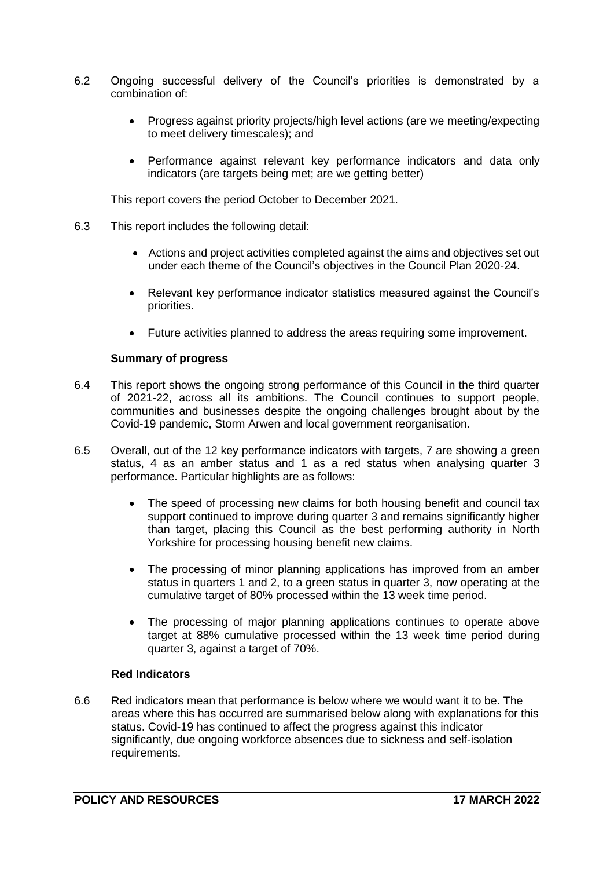- 6.2 Ongoing successful delivery of the Council's priorities is demonstrated by a combination of:
	- Progress against priority projects/high level actions (are we meeting/expecting to meet delivery timescales); and
	- Performance against relevant key performance indicators and data only indicators (are targets being met; are we getting better)

This report covers the period October to December 2021.

- 6.3 This report includes the following detail:
	- Actions and project activities completed against the aims and objectives set out under each theme of the Council's objectives in the Council Plan 2020-24.
	- Relevant key performance indicator statistics measured against the Council's priorities.
	- Future activities planned to address the areas requiring some improvement.

### **Summary of progress**

- 6.4 This report shows the ongoing strong performance of this Council in the third quarter of 2021-22, across all its ambitions. The Council continues to support people, communities and businesses despite the ongoing challenges brought about by the Covid-19 pandemic, Storm Arwen and local government reorganisation.
- 6.5 Overall, out of the 12 key performance indicators with targets, 7 are showing a green status, 4 as an amber status and 1 as a red status when analysing quarter 3 performance. Particular highlights are as follows:
	- The speed of processing new claims for both housing benefit and council tax support continued to improve during quarter 3 and remains significantly higher than target, placing this Council as the best performing authority in North Yorkshire for processing housing benefit new claims.
	- The processing of minor planning applications has improved from an amber status in quarters 1 and 2, to a green status in quarter 3, now operating at the cumulative target of 80% processed within the 13 week time period.
	- The processing of major planning applications continues to operate above target at 88% cumulative processed within the 13 week time period during quarter 3, against a target of 70%.

# **Red Indicators**

6.6 Red indicators mean that performance is below where we would want it to be. The areas where this has occurred are summarised below along with explanations for this status. Covid-19 has continued to affect the progress against this indicator significantly, due ongoing workforce absences due to sickness and self-isolation requirements.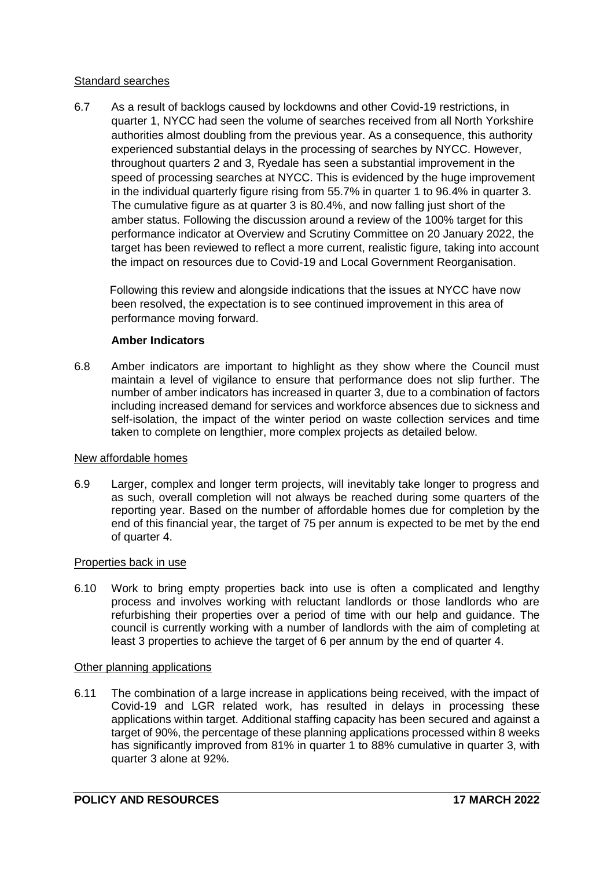### Standard searches

6.7 As a result of backlogs caused by lockdowns and other Covid-19 restrictions, in quarter 1, NYCC had seen the volume of searches received from all North Yorkshire authorities almost doubling from the previous year. As a consequence, this authority experienced substantial delays in the processing of searches by NYCC. However, throughout quarters 2 and 3, Ryedale has seen a substantial improvement in the speed of processing searches at NYCC. This is evidenced by the huge improvement in the individual quarterly figure rising from 55.7% in quarter 1 to 96.4% in quarter 3. The cumulative figure as at quarter 3 is 80.4%, and now falling just short of the amber status. Following the discussion around a review of the 100% target for this performance indicator at Overview and Scrutiny Committee on 20 January 2022, the target has been reviewed to reflect a more current, realistic figure, taking into account the impact on resources due to Covid-19 and Local Government Reorganisation.

Following this review and alongside indications that the issues at NYCC have now been resolved, the expectation is to see continued improvement in this area of performance moving forward.

# **Amber Indicators**

6.8 Amber indicators are important to highlight as they show where the Council must maintain a level of vigilance to ensure that performance does not slip further. The number of amber indicators has increased in quarter 3, due to a combination of factors including increased demand for services and workforce absences due to sickness and self-isolation, the impact of the winter period on waste collection services and time taken to complete on lengthier, more complex projects as detailed below.

### New affordable homes

6.9 Larger, complex and longer term projects, will inevitably take longer to progress and as such, overall completion will not always be reached during some quarters of the reporting year. Based on the number of affordable homes due for completion by the end of this financial year, the target of 75 per annum is expected to be met by the end of quarter 4.

### Properties back in use

6.10 Work to bring empty properties back into use is often a complicated and lengthy process and involves working with reluctant landlords or those landlords who are refurbishing their properties over a period of time with our help and guidance. The council is currently working with a number of landlords with the aim of completing at least 3 properties to achieve the target of 6 per annum by the end of quarter 4.

### Other planning applications

6.11 The combination of a large increase in applications being received, with the impact of Covid-19 and LGR related work, has resulted in delays in processing these applications within target. Additional staffing capacity has been secured and against a target of 90%, the percentage of these planning applications processed within 8 weeks has significantly improved from 81% in quarter 1 to 88% cumulative in quarter 3, with quarter 3 alone at 92%.